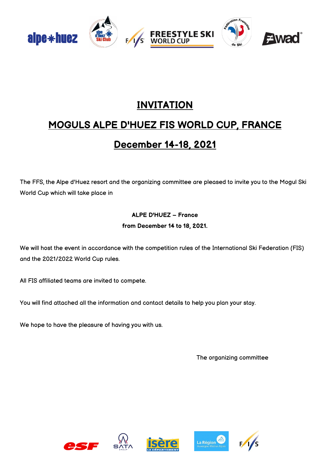

# **INVITATION**

# **MOGULS ALPE D'HUEZ FIS WORLD CUP, FRANCE**

# **December 14-18, 2021**

The FFS, the Alpe d'Huez resort and the organizing committee are pleased to invite you to the Mogul Ski World Cup which will take place in

### **ALPE D'HUEZ – France from December 14 to 18, 2021.**

We will host the event in accordance with the competition rules of the International Ski Federation (FIS) and the 2021/2022 World Cup rules.

All FIS affiliated teams are invited to compete.

You will find attached all the information and contact details to help you plan your stay.

We hope to have the pleasure of having you with us.

The organizing committee







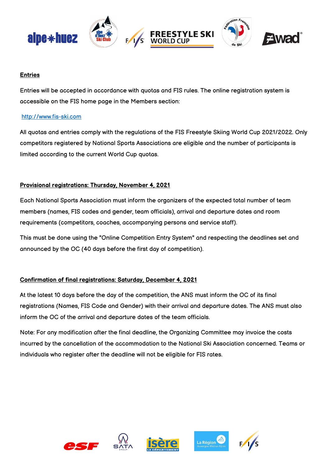

#### **Entries**

Entries will be accepted in accordance with quotas and FIS rules. The online registration system is accessible on the FIS home page in the Members section:

#### [http://www.fis-ski.com](http://www.fis-ski.com/)

All quotas and entries comply with the regulations of the FIS Freestyle Skiing World Cup 2021/2022. Only competitors registered by National Sports Associations are eligible and the number of participants is limited according to the current World Cup quotas.

### **Provisional registrations: Thursday, November 4, 2021**

Each National Sports Association must inform the organizers of the expected total number of team members (names, FIS codes and gender, team officials), arrival and departure dates and room requirements (competitors, coaches, accompanying persons and service staff).

This must be done using the "Online Competition Entry System" and respecting the deadlines set and announced by the OC (40 days before the first day of competition).

### **Confirmation of final registrations: Saturday, December 4, 2021**

At the latest 10 days before the day of the competition, the ANS must inform the OC of its final registrations (Names, FIS Code and Gender) with their arrival and departure dates. The ANS must also inform the OC of the arrival and departure dates of the team officials.

Note: For any modification after the final deadline, the Organizing Committee may invoice the costs incurred by the cancellation of the accommodation to the National Ski Association concerned. Teams or individuals who register after the deadline will not be eligible for FIS rates.







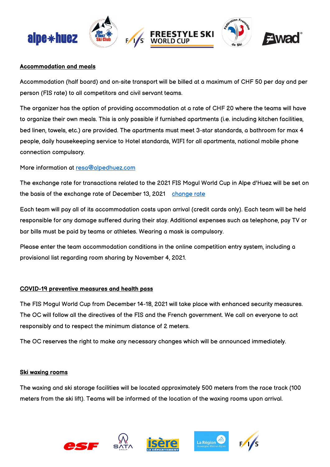

#### **Accommodation and meals**

Accommodation (half board) and on-site transport will be billed at a maximum of CHF 50 per day and per person (FIS rate) to all competitors and civil servant teams.

The organizer has the option of providing accommodation at a rate of CHF 20 where the teams will have to organize their own meals. This is only possible if furnished apartments (i.e. including kitchen facilities, bed linen, towels, etc.) are provided. The apartments must meet 3-star standards, a bathroom for max 4 people, daily housekeeping service to Hotel standards, WIFI for all apartments, national mobile phone connection compulsory.

More information at [resa@alpedhuez.com](mailto:resa@alpedhuez.com)

The exchange rate for transactions related to the 2021 FIS Mogul World Cup in Alpe d'Huez will be set on the basis of the exchange rate of December 13, 2021 [change rate](https://www.exchange-rates.org/converter/CHF/EUR/1)

Each team will pay all of its accommodation costs upon arrival (credit cards only). Each team will be held responsible for any damage suffered during their stay. Additional expenses such as telephone, pay TV or bar bills must be paid by teams or athletes. Wearing a mask is compulsory.

Please enter the team accommodation conditions in the online competition entry system, including a provisional list regarding room sharing by November 4, 2021.

#### **COVID-19 preventive measures and health pass**

The FIS Mogul World Cup from December 14-18, 2021 will take place with enhanced security measures. The OC will follow all the directives of the FIS and the French government. We call on everyone to act responsibly and to respect the minimum distance of 2 meters.

The OC reserves the right to make any necessary changes which will be announced immediately.

#### **Ski waxing rooms**

The waxing and ski storage facilities will be located approximately 500 meters from the race track (100 meters from the ski lift). Teams will be informed of the location of the waxing rooms upon arrival.







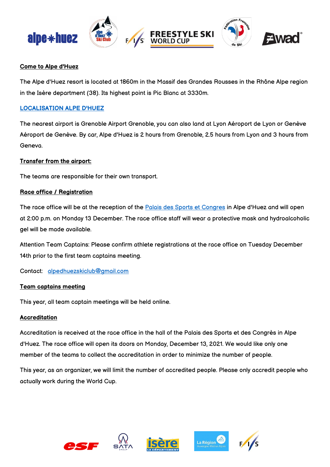

#### **Come to Alpe d'Huez**

The Alpe d'Huez resort is located at 1860m in the Massif des Grandes Rousses in the Rhône Alpe region in the Isère department (38). Its highest point is Pic Blanc at 3330m.

#### **[LOCALISATION ALPE D'HUEZ](https://www.google.fr/maps/place/Alpe+d)**

The nearest airport is Grenoble Airport Grenoble, you can also land at Lyon Aéroport de Lyon or Genève Aéroport de Genève. By car, Alpe d'Huez is 2 hours from Grenoble, 2.5 hours from Lyon and 3 hours from Geneva.

#### **Transfer from the airport:**

The teams are responsible for their own transport.

#### **Race office / Registration**

The race office will be at the reception of the [Palais des Sports et Congres](https://goo.gl/maps/LpfgZffckU2R6bz98) in Alpe d'Huez and will open at 2:00 p.m. on Monday 13 December. The race office staff will wear a protective mask and hydroalcoholic gel will be made available.

Attention Team Captains: Please confirm athlete registrations at the race office on Tuesday December 14th prior to the first team captains meeting.

Contact: [alpedhuezskiclub@gmail.com](mailto:alpedhuezskiclub@gmail.com)

#### **Team captains meeting**

This year, all team captain meetings will be held online.

#### **Accreditation**

Accreditation is received at the race office in the hall of the Palais des Sports et des Congrès in Alpe d'Huez. The race office will open its doors on Monday, December 13, 2021. We would like only one member of the teams to collect the accreditation in order to minimize the number of people.

This year, as an organizer, we will limit the number of accredited people. Please only accredit people who actually work during the World Cup.







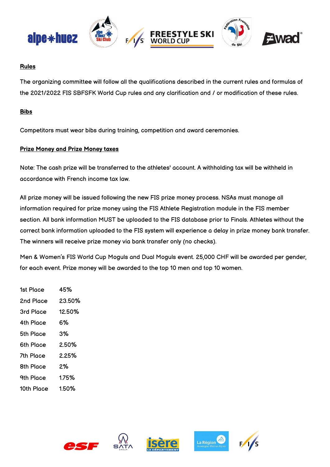

#### **Rules**

The organizing committee will follow all the qualifications described in the current rules and formulas of the 2021/2022 FIS SBFSFK World Cup rules and any clarification and / or modification of these rules.

#### **Bibs**

Competitors must wear bibs during training, competition and award ceremonies.

#### **Prize Money and Prize Money taxes**

Note: The cash prize will be transferred to the athletes' account. A withholding tax will be withheld in accordance with French income tax law.

All prize money will be issued following the new FIS prize money process. NSAs must manage all information required for prize money using the FIS Athlete Registration module in the FIS member section. All bank information MUST be uploaded to the FIS database prior to Finals. Athletes without the correct bank information uploaded to the FIS system will experience a delay in prize money bank transfer. The winners will receive prize money via bank transfer only (no checks).

Men & Women's FIS World Cup Moguls and Dual Moguls event. 25,000 CHF will be awarded per gender, for each event. Prize money will be awarded to the top 10 men and top 10 women.

| 1st Place  | 45%    |
|------------|--------|
| 2nd Place  | 23.50% |
| 3rd Place  | 12.50% |
| 4th Place  | 6%     |
| 5th Place  | 3%     |
| 6th Place  | 2.50%  |
| 7th Place  | 2.25%  |
| 8th Place  | 2%     |
| 9th Place  | 1.75%  |
| 10th Place | 1.50%  |